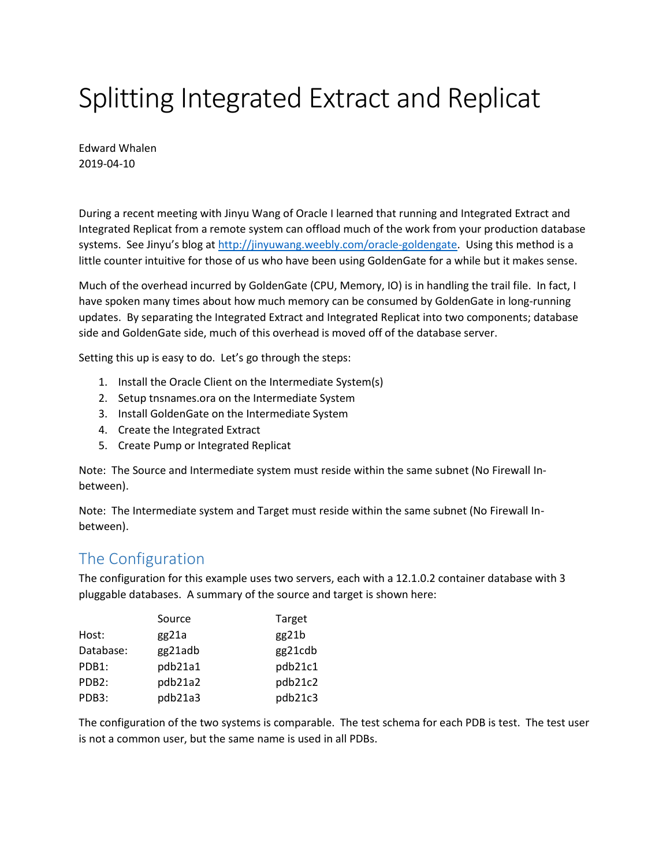# Splitting Integrated Extract and Replicat

Edward Whalen 2019-04-10

During a recent meeting with Jinyu Wang of Oracle I learned that running and Integrated Extract and Integrated Replicat from a remote system can offload much of the work from your production database systems. See Jinyu's blog at [http://jinyuwang.weebly.com/oracle-goldengate.](http://jinyuwang.weebly.com/oracle-goldengate) Using this method is a little counter intuitive for those of us who have been using GoldenGate for a while but it makes sense.

Much of the overhead incurred by GoldenGate (CPU, Memory, IO) is in handling the trail file. In fact, I have spoken many times about how much memory can be consumed by GoldenGate in long-running updates. By separating the Integrated Extract and Integrated Replicat into two components; database side and GoldenGate side, much of this overhead is moved off of the database server.

Setting this up is easy to do. Let's go through the steps:

- 1. Install the Oracle Client on the Intermediate System(s)
- 2. Setup tnsnames.ora on the Intermediate System
- 3. Install GoldenGate on the Intermediate System
- 4. Create the Integrated Extract
- 5. Create Pump or Integrated Replicat

Note: The Source and Intermediate system must reside within the same subnet (No Firewall Inbetween).

Note: The Intermediate system and Target must reside within the same subnet (No Firewall Inbetween).

#### The Configuration

The configuration for this example uses two servers, each with a 12.1.0.2 container database with 3 pluggable databases. A summary of the source and target is shown here:

|                    | Source  | Target  |
|--------------------|---------|---------|
| Host:              | gg21a   | gg21b   |
| Database:          | gg21adb | gg21cdb |
| PDB1:              | pdb21a1 | pdb21c1 |
| PDB <sub>2</sub> : | pdb21a2 | pdb21c2 |
| PDB3:              | pdb21a3 | pdb21c3 |

The configuration of the two systems is comparable. The test schema for each PDB is test. The test user is not a common user, but the same name is used in all PDBs.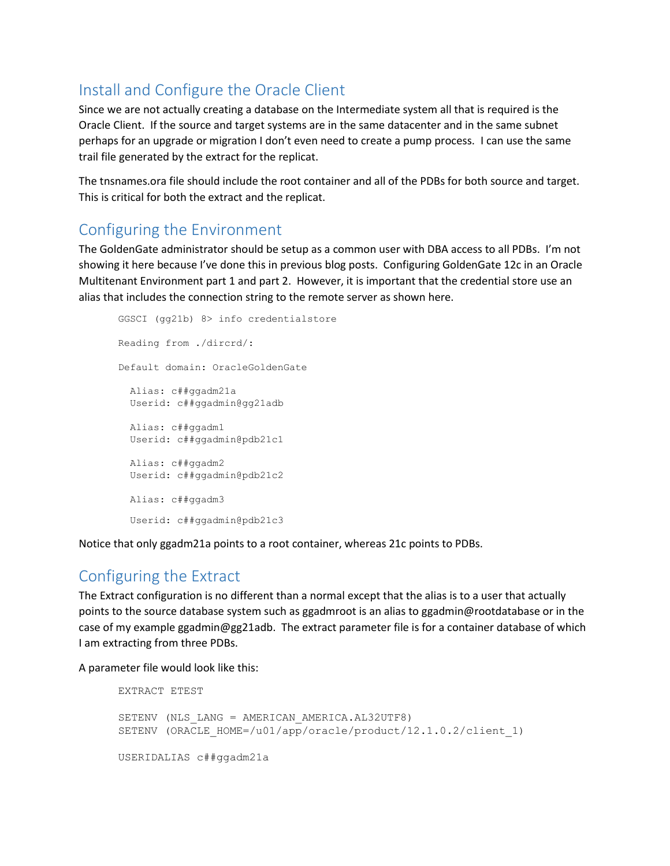## Install and Configure the Oracle Client

Since we are not actually creating a database on the Intermediate system all that is required is the Oracle Client. If the source and target systems are in the same datacenter and in the same subnet perhaps for an upgrade or migration I don't even need to create a pump process. I can use the same trail file generated by the extract for the replicat.

The tnsnames.ora file should include the root container and all of the PDBs for both source and target. This is critical for both the extract and the replicat.

#### Configuring the Environment

The GoldenGate administrator should be setup as a common user with DBA access to all PDBs. I'm not showing it here because I've done this in previous blog posts. Configuring GoldenGate 12c in an Oracle Multitenant Environment part 1 and part 2. However, it is important that the credential store use an alias that includes the connection string to the remote server as shown here.

```
GGSCI (gg21b) 8> info credentialstore
Reading from ./dircrd/:
Default domain: OracleGoldenGate
   Alias: c##ggadm21a
  Userid: c##ggadmin@gg21adb
  Alias: c##ggadm1
  Userid: c##ggadmin@pdb21c1
   Alias: c##ggadm2
  Userid: c##ggadmin@pdb21c2
  Alias: c##ggadm3
   Userid: c##ggadmin@pdb21c3
```
Notice that only ggadm21a points to a root container, whereas 21c points to PDBs.

#### Configuring the Extract

The Extract configuration is no different than a normal except that the alias is to a user that actually points to the source database system such as ggadmroot is an alias to ggadmin@rootdatabase or in the case of my example ggadmin@gg21adb. The extract parameter file is for a container database of which I am extracting from three PDBs.

A parameter file would look like this:

```
EXTRACT ETEST
SETENV (NLS LANG = AMERICAN AMERICA.AL32UTF8)
SETENV (ORACLE HOME=/u01/app/oracle/product/12.1.0.2/client 1)
USERIDALIAS c##ggadm21a
```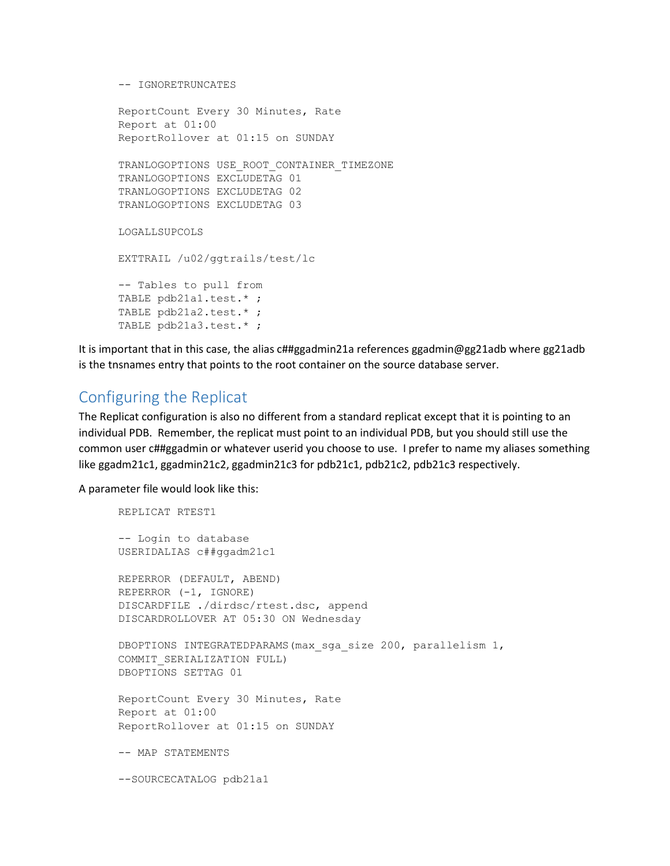```
-- IGNORETRUNCATES
```

```
ReportCount Every 30 Minutes, Rate
Report at 01:00
ReportRollover at 01:15 on SUNDAY
TRANLOGOPTIONS USE_ROOT_CONTAINER_TIMEZONE
TRANLOGOPTIONS EXCLUDETAG 01
TRANLOGOPTIONS EXCLUDETAG 02
TRANLOGOPTIONS EXCLUDETAG 03
LOGALLSUPCOLS
EXTTRAIL /u02/ggtrails/test/lc
-- Tables to pull from
TABLE pdb21a1.test.* ;
TABLE pdb21a2.test.* ;
TABLE pdb21a3.test.* ;
```
It is important that in this case, the alias c##ggadmin21a references ggadmin@gg21adb where gg21adb is the tnsnames entry that points to the root container on the source database server.

# Configuring the Replicat

The Replicat configuration is also no different from a standard replicat except that it is pointing to an individual PDB. Remember, the replicat must point to an individual PDB, but you should still use the common user c##ggadmin or whatever userid you choose to use. I prefer to name my aliases something like ggadm21c1, ggadmin21c2, ggadmin21c3 for pdb21c1, pdb21c2, pdb21c3 respectively.

A parameter file would look like this:

```
REPLICAT RTEST1
-- Login to database
USERIDALIAS c##ggadm21c1
REPERROR (DEFAULT, ABEND)
REPERROR (-1, IGNORE)
DISCARDFILE ./dirdsc/rtest.dsc, append
DISCARDROLLOVER AT 05:30 ON Wednesday
DBOPTIONS INTEGRATEDPARAMS(max_sga_size 200, parallelism 1, 
COMMIT_SERIALIZATION FULL)
DBOPTIONS SETTAG 01
ReportCount Every 30 Minutes, Rate
Report at 01:00
ReportRollover at 01:15 on SUNDAY
-- MAP STATEMENTS
--SOURCECATALOG pdb21a1
```